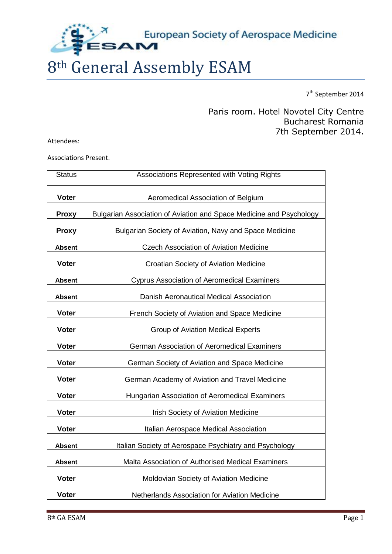European Society of Aerospace Medicine

# 8th General Assembly ESAM

7<sup>th</sup> September 2014

## Paris room. Hotel Novotel City Centre Bucharest Romania 7th September 2014.

Attendees:

Associations Present.

| <b>Status</b> | Associations Represented with Voting Rights                         |  |  |
|---------------|---------------------------------------------------------------------|--|--|
| <b>Voter</b>  | Aeromedical Association of Belgium                                  |  |  |
| <b>Proxy</b>  | Bulgarian Association of Aviation and Space Medicine and Psychology |  |  |
| <b>Proxy</b>  | Bulgarian Society of Aviation, Navy and Space Medicine              |  |  |
| <b>Absent</b> | Czech Association of Aviation Medicine                              |  |  |
| <b>Voter</b>  | Croatian Society of Aviation Medicine                               |  |  |
| <b>Absent</b> | <b>Cyprus Association of Aeromedical Examiners</b>                  |  |  |
| <b>Absent</b> | Danish Aeronautical Medical Association                             |  |  |
| <b>Voter</b>  | French Society of Aviation and Space Medicine                       |  |  |
| <b>Voter</b>  | <b>Group of Aviation Medical Experts</b>                            |  |  |
| <b>Voter</b>  | German Association of Aeromedical Examiners                         |  |  |
| <b>Voter</b>  | German Society of Aviation and Space Medicine                       |  |  |
| <b>Voter</b>  | German Academy of Aviation and Travel Medicine                      |  |  |
| <b>Voter</b>  | Hungarian Association of Aeromedical Examiners                      |  |  |
| <b>Voter</b>  | <b>Irish Society of Aviation Medicine</b>                           |  |  |
| <b>Voter</b>  | Italian Aerospace Medical Association                               |  |  |
| <b>Absent</b> | Italian Society of Aerospace Psychiatry and Psychology              |  |  |
| <b>Absent</b> | Malta Association of Authorised Medical Examiners                   |  |  |
| <b>Voter</b>  | Moldovian Society of Aviation Medicine                              |  |  |
| <b>Voter</b>  | Netherlands Association for Aviation Medicine                       |  |  |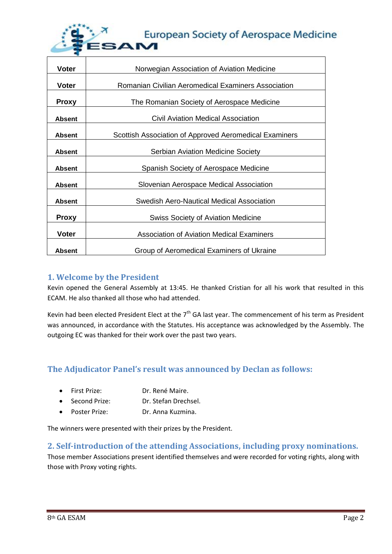

| <b>Voter</b>                                              | Norwegian Association of Aviation Medicine                 |  |  |  |
|-----------------------------------------------------------|------------------------------------------------------------|--|--|--|
| <b>Voter</b>                                              | Romanian Civilian Aeromedical Examiners Association        |  |  |  |
|                                                           |                                                            |  |  |  |
|                                                           | The Romanian Society of Aerospace Medicine<br><b>Proxy</b> |  |  |  |
| <b>Absent</b>                                             | Civil Aviation Medical Association                         |  |  |  |
| <b>Absent</b>                                             | Scottish Association of Approved Aeromedical Examiners     |  |  |  |
|                                                           |                                                            |  |  |  |
| <b>Serbian Aviation Medicine Society</b><br><b>Absent</b> |                                                            |  |  |  |
| <b>Absent</b>                                             | Spanish Society of Aerospace Medicine                      |  |  |  |
| <b>Absent</b>                                             | Slovenian Aerospace Medical Association                    |  |  |  |
|                                                           |                                                            |  |  |  |
| <b>Absent</b>                                             | Swedish Aero-Nautical Medical Association                  |  |  |  |
| <b>Proxy</b>                                              | <b>Swiss Society of Aviation Medicine</b>                  |  |  |  |
|                                                           |                                                            |  |  |  |
| <b>Voter</b>                                              | Association of Aviation Medical Examiners                  |  |  |  |
| <b>Absent</b>                                             | Group of Aeromedical Examiners of Ukraine                  |  |  |  |

### **1. Welcome by the President**

Kevin opened the General Assembly at 13:45. He thanked Cristian for all his work that resulted in this ECAM. He also thanked all those who had attended.

Kevin had been elected President Elect at the  $7<sup>th</sup>$  GA last year. The commencement of his term as President was announced, in accordance with the Statutes. His acceptance was acknowledged by the Assembly. The outgoing EC was thanked for their work over the past two years.

## **The Adjudicator Panel's result was announced by Declan as follows:**

- First Prize: Dr. René Maire.
- Second Prize: Dr. Stefan Drechsel.
- Poster Prize: Dr. Anna Kuzmina.

The winners were presented with their prizes by the President.

### **2. Self-introduction of the attending Associations, including proxy nominations.**

Those member Associations present identified themselves and were recorded for voting rights, along with those with Proxy voting rights.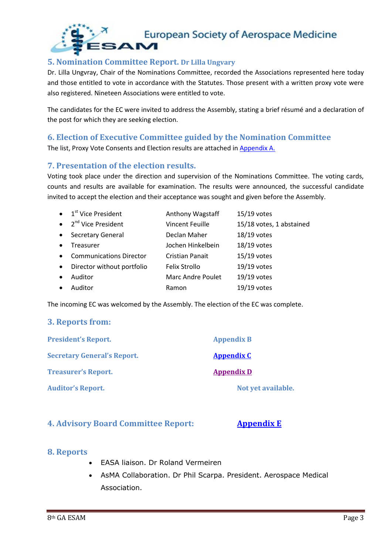

### **5. Nomination Committee Report. Dr Lilla Ungvary**

Dr. Lilla Ungvray, Chair of the Nominations Committee, recorded the Associations represented here today and those entitled to vote in accordance with the Statutes. Those present with a written proxy vote were also registered. Nineteen Associations were entitled to vote.

The candidates for the EC were invited to address the Assembly, stating a brief résumé and a declaration of the post for which they are seeking election.

#### **6. Election of Executive Committee guided by the Nomination Committee**

The list, Proxy Vote Consents and Election results are attached in [Appendix A.](EC_Elections_2014.PDF)

### **7. Presentation of the election results.**

Voting took place under the direction and supervision of the Nominations Committee. The voting cards, counts and results are available for examination. The results were announced, the successful candidate invited to accept the election and their acceptance was sought and given before the Assembly.

|           | $\bullet$ 1 <sup>st</sup> Vice President | Anthony Wagstaff       | $15/19$ votes            |
|-----------|------------------------------------------|------------------------|--------------------------|
|           | • $2^{nd}$ Vice President                | <b>Vincent Feuille</b> | 15/18 votes, 1 abstained |
| $\bullet$ | <b>Secretary General</b>                 | Declan Maher           | 18/19 votes              |
|           | Treasurer                                | Jochen Hinkelbein      | 18/19 votes              |
| $\bullet$ | <b>Communications Director</b>           | <b>Cristian Panait</b> | $15/19$ votes            |
| $\bullet$ | Director without portfolio               | Felix Strollo          | 19/19 votes              |
| $\bullet$ | Auditor                                  | Marc Andre Poulet      | 19/19 votes              |
|           | Auditor                                  | Ramon                  | 19/19 votes              |

The incoming EC was welcomed by the Assembly. The election of the EC was complete.

#### **3. Reports from:**

| <b>President's Report.</b>         | <b>Appendix B</b>  |
|------------------------------------|--------------------|
| <b>Secretary General's Report.</b> | <b>Appendix C</b>  |
| <b>Treasurer's Report.</b>         | <b>Appendix D</b>  |
| <b>Auditor's Report.</b>           | Not yet available. |

#### **4. Advisory Board Committee Report: [Appendix E](AB%20report%20GA%202014%20Bucharest.pdf)**

#### **8. Reports**

- EASA liaison. Dr Roland Vermeiren
- AsMA Collaboration. Dr Phil Scarpa. President. Aerospace Medical Association.